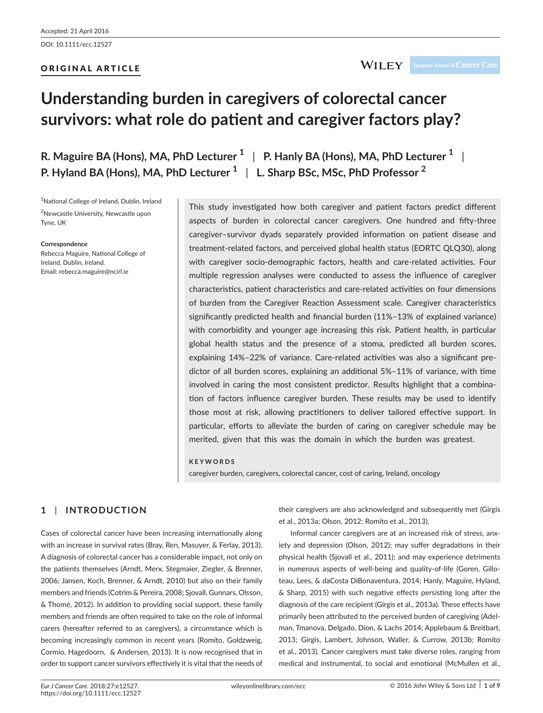# ORIGINAL ARTICLE

# **Understanding burden in caregivers of colorectal cancer survivors: what role do patient and caregiver factors play?**

**R. Maguire BA (Hons), MA, PhD Lecturer <sup>1</sup>** | **P. Hanly BA (Hons), MA, PhD Lecturer <sup>1</sup>** | **P. Hyland BA (Hons), MA, PhD Lecturer <sup>1</sup>** | **L. Sharp BSc, MSc, PhD Professor <sup>2</sup>**

<sup>1</sup>National College of Ireland, Dublin, Ireland <sup>2</sup>Newcastle University, Newcastle upon Tyne, UK

#### **Correspondence**

Rebecca Maguire, National College of Ireland, Dublin, Ireland. Email: [rebecca.maguire@ncirl.ie](mailto:rebecca.maguire@ncirl.ie)

This study investigated how both caregiver and patient factors predict different aspects of burden in colorectal cancer caregivers. One hundred and fifty-three caregiver–survivor dyads separately provided information on patient disease and treatment-related factors, and perceived global health status (EORTC QLQ30), along with caregiver socio-demographic factors, health and care-related activities. Four multiple regression analyses were conducted to assess the influence of caregiver characteristics, patient characteristics and care-related activities on four dimensions of burden from the Caregiver Reaction Assessment scale. Caregiver characteristics significantly predicted health and financial burden (11%–13% of explained variance) with comorbidity and younger age increasing this risk. Patient health, in particular global health status and the presence of a stoma, predicted all burden scores, explaining 14%–22% of variance. Care-related activities was also a significant predictor of all burden scores, explaining an additional 5%–11% of variance, with time involved in caring the most consistent predictor. Results highlight that a combination of factors influence caregiver burden. These results may be used to identify those most at risk, allowing practitioners to deliver tailored effective support. In particular, efforts to alleviate the burden of caring on caregiver schedule may be merited, given that this was the domain in which the burden was greatest.

#### **KEYWORDS**

caregiver burden, caregivers, colorectal cancer, cost of caring, Ireland, oncology

# **1** | **INTRODUCTION**

Cases of colorectal cancer have been increasing internationally along with an increase in survival rates (Bray, Ren, Masuyer, & Ferlay, 2013). A diagnosis of colorectal cancer has a considerable impact, not only on the patients themselves (Arndt, Merx, Stegmaier, Ziegler, & Brenner, 2006; Jansen, Koch, Brenner, & Arndt, 2010) but also on their family members and friends (Cotrim & Pereira, 2008; Sjovall, Gunnars, Olsson, & Thomé, 2012). In addition to providing social support, these family members and friends are often required to take on the role of informal carers (hereafter referred to as caregivers), a circumstance which is becoming increasingly common in recent years (Romito, Goldzweig, Cormio, Hagedoorn, & Andersen, 2013). It is now recognised that in order to support cancer survivors effectively it is vital that the needs of

their caregivers are also acknowledged and subsequently met (Girgis et al., 2013a; Olson, 2012; Romito et al., 2013).

Informal cancer caregivers are at an increased risk of stress, anxiety and depression (Olson, 2012); may suffer degradations in their physical health (Sjovall et al., 2011); and may experience detriments in numerous aspects of well-being and quality-of-life (Goren, Gilloteau, Lees, & daCosta DiBonaventura, 2014; Hanly, Maguire, Hyland, & Sharp, 2015) with such negative effects persisting long after the diagnosis of the care recipient (Girgis et al., 2013a). These effects have primarily been attributed to the perceived burden of caregiving (Adelman, Tmanova, Delgado, Dion, & Lachs 2014; Applebaum & Breitbart, 2013; Girgis, Lambert, Johnson, Waller, & Currow, 2013b; Romito et al., 2013). Cancer caregivers must take diverse roles, ranging from medical and instrumental, to social and emotional (McMullen et al.,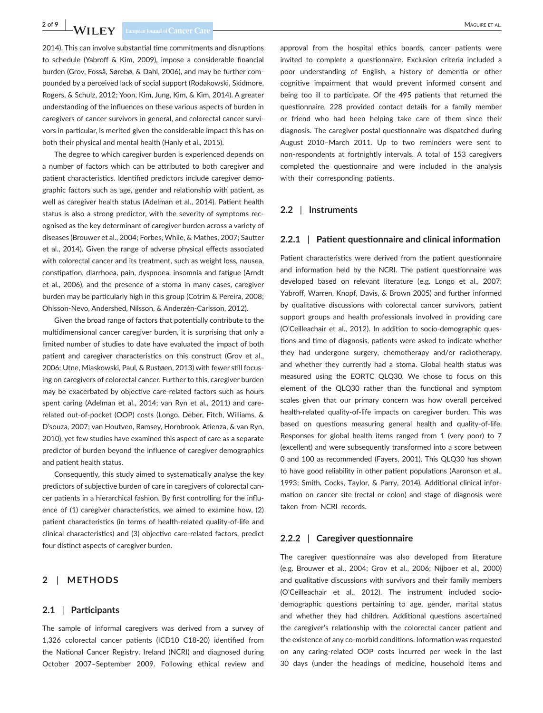2014). This can involve substantial time commitments and disruptions to schedule (Yabroff & Kim, 2009), impose a considerable financial burden (Grov, Fosså, Sørebø, & Dahl, 2006), and may be further compounded by a perceived lack of social support (Rodakowski, Skidmore, Rogers, & Schulz, 2012; Yoon, Kim, Jung, Kim, & Kim, 2014). A greater understanding of the influences on these various aspects of burden in caregivers of cancer survivors in general, and colorectal cancer survivors in particular, is merited given the considerable impact this has on both their physical and mental health (Hanly et al., 2015).

The degree to which caregiver burden is experienced depends on a number of factors which can be attributed to both caregiver and patient characteristics. Identified predictors include caregiver demographic factors such as age, gender and relationship with patient, as well as caregiver health status (Adelman et al., 2014). Patient health status is also a strong predictor, with the severity of symptoms recognised as the key determinant of caregiver burden across a variety of diseases (Brouwer et al., 2004; Forbes, While, & Mathes, 2007; Sautter et al., 2014). Given the range of adverse physical effects associated with colorectal cancer and its treatment, such as weight loss, nausea, constipation, diarrhoea, pain, dyspnoea, insomnia and fatigue (Arndt et al., 2006), and the presence of a stoma in many cases, caregiver burden may be particularly high in this group (Cotrim & Pereira, 2008; Ohlsson-Nevo, Andershed, Nilsson, & Anderzén-Carlsson, 2012).

Given the broad range of factors that potentially contribute to the multidimensional cancer caregiver burden, it is surprising that only a limited number of studies to date have evaluated the impact of both patient and caregiver characteristics on this construct (Grov et al., 2006; Utne, Miaskowski, Paul, & Rustøen, 2013) with fewer still focusing on caregivers of colorectal cancer. Further to this, caregiver burden may be exacerbated by objective care-related factors such as hours spent caring (Adelman et al., 2014; van Ryn et al., 2011) and carerelated out-of-pocket (OOP) costs (Longo, Deber, Fitch, Williams, & D'souza, 2007; van Houtven, Ramsey, Hornbrook, Atienza, & van Ryn, 2010), yet few studies have examined this aspect of care as a separate predictor of burden beyond the influence of caregiver demographics and patient health status.

Consequently, this study aimed to systematically analyse the key predictors of subjective burden of care in caregivers of colorectal cancer patients in a hierarchical fashion. By first controlling for the influence of (1) caregiver characteristics, we aimed to examine how, (2) patient characteristics (in terms of health-related quality-of-life and clinical characteristics) and (3) objective care-related factors, predict four distinct aspects of caregiver burden.

# **2** | **METHODS**

#### **2.1** | **Participants**

The sample of informal caregivers was derived from a survey of 1,326 colorectal cancer patients (ICD10 C18-20) identified from the National Cancer Registry, Ireland (NCRI) and diagnosed during October 2007–September 2009. Following ethical review and

approval from the hospital ethics boards, cancer patients were invited to complete a questionnaire. Exclusion criteria included a poor understanding of English, a history of dementia or other cognitive impairment that would prevent informed consent and being too ill to participate. Of the 495 patients that returned the questionnaire, 228 provided contact details for a family member or friend who had been helping take care of them since their diagnosis. The caregiver postal questionnaire was dispatched during August 2010–March 2011. Up to two reminders were sent to non-respondents at fortnightly intervals. A total of 153 caregivers completed the questionnaire and were included in the analysis with their corresponding patients.

#### **2.2** | **Instruments**

#### **2.2.1** | **Patient questionnaire and clinical information**

Patient characteristics were derived from the patient questionnaire and information held by the NCRI. The patient questionnaire was developed based on relevant literature (e.g. Longo et al., 2007; Yabroff, Warren, Knopf, Davis, & Brown 2005) and further informed by qualitative discussions with colorectal cancer survivors, patient support groups and health professionals involved in providing care (O'Ceilleachair et al., 2012). In addition to socio-demographic questions and time of diagnosis, patients were asked to indicate whether they had undergone surgery, chemotherapy and/or radiotherapy, and whether they currently had a stoma. Global health status was measured using the EORTC QLQ30. We chose to focus on this element of the QLQ30 rather than the functional and symptom scales given that our primary concern was how overall perceived health-related quality-of-life impacts on caregiver burden. This was based on questions measuring general health and quality-of-life. Responses for global health items ranged from 1 (very poor) to 7 (excellent) and were subsequently transformed into a score between 0 and 100 as recommended (Fayers, 2001). This QLQ30 has shown to have good reliability in other patient populations (Aaronson et al., 1993; Smith, Cocks, Taylor, & Parry, 2014). Additional clinical information on cancer site (rectal or colon) and stage of diagnosis were taken from NCRI records.

#### **2.2.2** | **Caregiver questionnaire**

The caregiver questionnaire was also developed from literature (e.g. Brouwer et al., 2004; Grov et al., 2006; Nijboer et al., 2000) and qualitative discussions with survivors and their family members (O'Ceilleachair et al., 2012). The instrument included sociodemographic questions pertaining to age, gender, marital status and whether they had children. Additional questions ascertained the caregiver's relationship with the colorectal cancer patient and the existence of any co-morbid conditions. Information was requested on any caring-related OOP costs incurred per week in the last 30 days (under the headings of medicine, household items and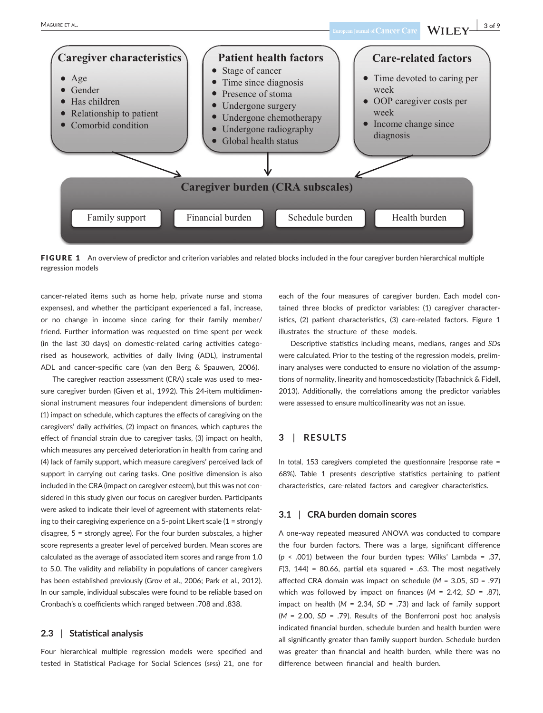

FIGURE 1 An overview of predictor and criterion variables and related blocks included in the four caregiver burden hierarchical multiple regression models

cancer-related items such as home help, private nurse and stoma expenses), and whether the participant experienced a fall, increase, or no change in income since caring for their family member/ friend. Further information was requested on time spent per week (in the last 30 days) on domestic-related caring activities categorised as housework, activities of daily living (ADL), instrumental ADL and cancer-specific care (van den Berg & Spauwen, 2006).

The caregiver reaction assessment (CRA) scale was used to measure caregiver burden (Given et al., 1992). This 24-item multidimensional instrument measures four independent dimensions of burden: (1) impact on schedule, which captures the effects of caregiving on the caregivers' daily activities, (2) impact on finances, which captures the effect of financial strain due to caregiver tasks, (3) impact on health, which measures any perceived deterioration in health from caring and (4) lack of family support, which measure caregivers' perceived lack of support in carrying out caring tasks. One positive dimension is also included in the CRA (impact on caregiver esteem), but this was not considered in this study given our focus on caregiver burden. Participants were asked to indicate their level of agreement with statements relating to their caregiving experience on a 5-point Likert scale (1 = strongly disagree, 5 = strongly agree). For the four burden subscales, a higher score represents a greater level of perceived burden. Mean scores are calculated as the average of associated item scores and range from 1.0 to 5.0. The validity and reliability in populations of cancer caregivers has been established previously (Grov et al., 2006; Park et al., 2012). In our sample, individual subscales were found to be reliable based on Cronbach's α coefficients which ranged between .708 and .838.

# **2.3** | **Statistical analysis**

Four hierarchical multiple regression models were specified and tested in Statistical Package for Social Sciences (spss) 21, one for each of the four measures of caregiver burden. Each model contained three blocks of predictor variables: (1) caregiver characteristics, (2) patient characteristics, (3) care-related factors. Figure 1 illustrates the structure of these models.

Descriptive statistics including means, medians, ranges and *SD*s were calculated. Prior to the testing of the regression models, preliminary analyses were conducted to ensure no violation of the assumptions of normality, linearity and homoscedasticity (Tabachnick & Fidell, 2013). Additionally, the correlations among the predictor variables were assessed to ensure multicollinearity was not an issue.

# **3** | **RESULTS**

In total, 153 caregivers completed the questionnaire (response rate = 68%). Table 1 presents descriptive statistics pertaining to patient characteristics, care-related factors and caregiver characteristics.

#### **3.1** | **CRA burden domain scores**

A one-way repeated measured ANOVA was conducted to compare the four burden factors. There was a large, significant difference (*p* < .001) between the four burden types: Wilks' Lambda = .37, *F*(3, 144) = 80.66, partial eta squared = .63. The most negatively affected CRA domain was impact on schedule (*M* = 3.05, *SD* = .97) which was followed by impact on finances (*M* = 2.42, *SD* = .87), impact on health (*M* = 2.34, *SD* = .73) and lack of family support (*M* = 2.00, *SD* = .79). Results of the Bonferroni post hoc analysis indicated financial burden, schedule burden and health burden were all significantly greater than family support burden. Schedule burden was greater than financial and health burden, while there was no difference between financial and health burden.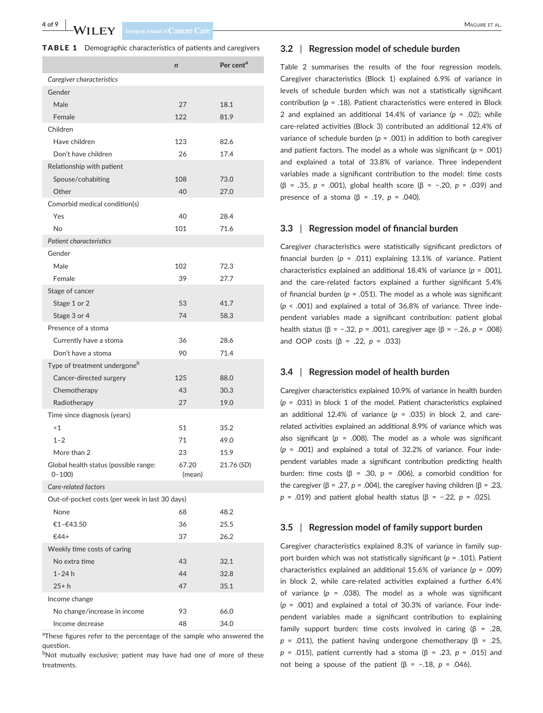| <b>TABLE 1</b> Demographic characteristics of patients and caregivers |  |
|-----------------------------------------------------------------------|--|
|-----------------------------------------------------------------------|--|

| $\mathsf{n}$                                                          | Per cent <sup>a</sup> |
|-----------------------------------------------------------------------|-----------------------|
| Caregiver characteristics                                             |                       |
| Gender                                                                |                       |
| Male<br>27<br>18.1                                                    |                       |
| Female<br>122<br>81.9                                                 |                       |
| Children                                                              |                       |
| Have children<br>123<br>82.6                                          |                       |
| Don't have children<br>26<br>17.4                                     |                       |
| Relationship with patient                                             |                       |
| 73.0<br>Spouse/cohabiting<br>108                                      |                       |
| Other<br>40<br>27.0                                                   |                       |
| Comorbid medical condition(s)                                         |                       |
| Yes<br>40<br>28.4                                                     |                       |
| 71.6<br>No<br>101                                                     |                       |
| Patient characteristics                                               |                       |
| Gender                                                                |                       |
| Male<br>102<br>72.3                                                   |                       |
| Female<br>39<br>27.7                                                  |                       |
| Stage of cancer                                                       |                       |
| 53<br>41.7<br>Stage 1 or 2                                            |                       |
| Stage 3 or 4<br>74<br>58.3                                            |                       |
| Presence of a stoma                                                   |                       |
| Currently have a stoma<br>36<br>28.6                                  |                       |
| 71.4<br>Don't have a stoma<br>90                                      |                       |
| Type of treatment undergone <sup>b</sup>                              |                       |
| Cancer-directed surgery<br>125<br>88.0                                |                       |
| 43<br>30.3<br>Chemotherapy                                            |                       |
| 27<br>19.0<br>Radiotherapy                                            |                       |
| Time since diagnosis (years)                                          |                       |
| ~1<br>51<br>35.2                                                      |                       |
| $1 - 2$<br>71<br>49.0                                                 |                       |
| More than 2<br>23<br>15.9                                             |                       |
| Global health status (possible range:<br>67.20<br>$0 - 100$<br>(mean) | 21.76 (SD)            |
| Care-related factors                                                  |                       |
| Out-of-pocket costs (per week in last 30 days)                        |                       |
| 68<br>48.2<br>None                                                    |                       |
| 25.5<br>€1-€43.50<br>36                                               |                       |
| 26.2<br>€44+<br>37                                                    |                       |
| Weekly time costs of caring                                           |                       |
| No extra time<br>43<br>32.1                                           |                       |
| 44<br>$1 - 24h$<br>32.8                                               |                       |
| 47<br>$25 + h$<br>35.1                                                |                       |
| Income change                                                         |                       |
| No change/increase in income<br>93<br>66.0                            |                       |
| Income decrease<br>48<br>34.0                                         |                       |

<sup>a</sup>These figures refer to the percentage of the sample who answered the question.

bNot mutually exclusive; patient may have had one of more of these treatments.

#### **3.2** | **Regression model of schedule burden**

Table 2 summarises the results of the four regression models. Caregiver characteristics (Block 1) explained 6.9% of variance in levels of schedule burden which was not a statistically significant contribution (*p* = .18). Patient characteristics were entered in Block 2 and explained an additional 14.4% of variance (*p* = .02); while care-related activities (Block 3) contributed an additional 12.4% of variance of schedule burden ( $p = .001$ ) in addition to both caregiver and patient factors. The model as a whole was significant (*p* = .001) and explained a total of 33.8% of variance. Three independent variables made a significant contribution to the model: time costs (β = .35, *p* = .001), global health score (β = −.20, *p* = .039) and presence of a stoma (β = .19, *p* = .040).

#### **3.3** | **Regression model of financial burden**

Caregiver characteristics were statistically significant predictors of financial burden (*p* = .011) explaining 13.1% of variance. Patient characteristics explained an additional 18.4% of variance (*p* = .001), and the care-related factors explained a further significant 5.4% of financial burden ( $p = .051$ ). The model as a whole was significant (*p* < .001) and explained a total of 36.8% of variance. Three independent variables made a significant contribution: patient global health status (β = −.32, *p* = .001), caregiver age (β = −.26, *p* = .008) and OOP costs (β = .22, *p* = .033)

#### **3.4** | **Regression model of health burden**

Caregiver characteristics explained 10.9% of variance in health burden (*p* = .031) in block 1 of the model. Patient characteristics explained an additional 12.4% of variance  $(p = .035)$  in block 2, and carerelated activities explained an additional 8.9% of variance which was also significant ( $p = .008$ ). The model as a whole was significant (*p* = .001) and explained a total of 32.2% of variance. Four independent variables made a significant contribution predicting health burden: time costs (β = .30, p = .006), a comorbid condition for the caregiver (β = .27, *p* = .004), the caregiver having children (β = .23, *p* = .019) and patient global health status (β = −.22, *p* = .025).

#### **3.5** | **Regression model of family support burden**

Caregiver characteristics explained 8.3% of variance in family support burden which was not statistically significant (*p* = .101). Patient characteristics explained an additional 15.6% of variance (*p* = .009) in block 2, while care-related activities explained a further 6.4% of variance  $(p = .038)$ . The model as a whole was significant (*p* = .001) and explained a total of 30.3% of variance. Four independent variables made a significant contribution to explaining family support burden: time costs involved in caring  $(\beta = .28, )$  *= .011), the patient having undergone chemotherapy (β = .25, p* = .015), patient currently had a stoma (β = .23, *p* = .015) and not being a spouse of the patient (β =  $-.18$ , *p* = .046).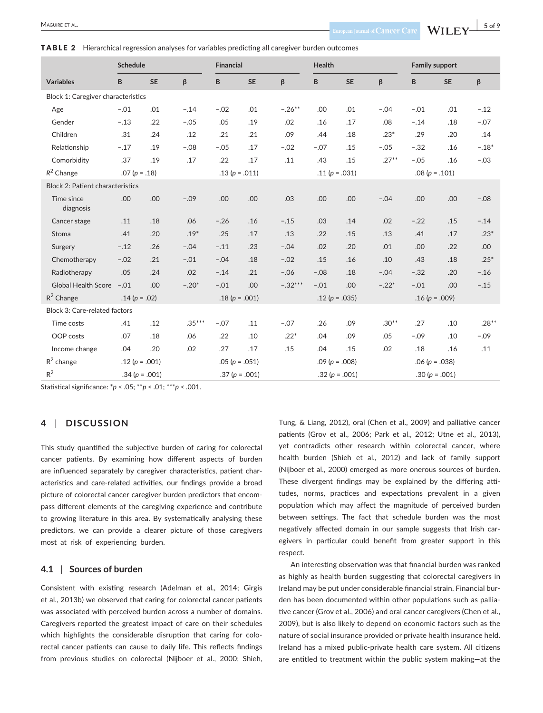#### TABLE 2 Hierarchical regression analyses for variables predicting all caregiver burden outcomes

| <b>Schedule</b>                         |                    |           |          | <b>Financial</b>   |                 |                 | <b>Health</b>      |                    |               | <b>Family support</b> |           |         |
|-----------------------------------------|--------------------|-----------|----------|--------------------|-----------------|-----------------|--------------------|--------------------|---------------|-----------------------|-----------|---------|
| <b>Variables</b>                        | B                  | <b>SE</b> | β        | B                  | <b>SE</b>       | β               | B                  | <b>SE</b>          | β             | B                     | <b>SE</b> | β       |
| Block 1: Caregiver characteristics      |                    |           |          |                    |                 |                 |                    |                    |               |                       |           |         |
| Age                                     | $-.01$             | .01       | $-.14$   | $-.02$             | .01             | $-.26***$       | .00                | .01                | $-.04$        | $-.01$                | .01       | $-.12$  |
| Gender                                  | $-.13$             | .22       | $-.05$   | .05                | .19             | .02             | .16                | .17                | .08           | $-.14$                | .18       | $-.07$  |
| Children                                | .31                | .24       | .12      | .21                | .21             | .09             | .44                | .18                | $.23*$        | .29                   | .20       | .14     |
| Relationship                            | $-.17$             | .19       | $-.08$   | $-.05$             | .17             | $-.02$          | $-.07$             | .15                | $-.05$        | $-.32$                | .16       | $-.18*$ |
| Comorbidity                             | .37                | .19       | .17      | .22                | .17             | .11             | .43                | .15                | $.27***$      | $-.05$                | .16       | $-.03$  |
| $R^2$ Change                            | $.07(p=.18)$       |           |          | .13 ( $p = .011$ ) |                 |                 | .11 ( $p = .031$ ) |                    | $.08(p=.101)$ |                       |           |         |
| <b>Block 2: Patient characteristics</b> |                    |           |          |                    |                 |                 |                    |                    |               |                       |           |         |
| Time since<br>diagnosis                 | .00                | .00       | $-.09$   | .00                | .00             | .03             | .00                | .00                | $-.04$        | .00                   | .00       | $-.08$  |
| Cancer stage                            | .11                | .18       | .06      | $-.26$             | .16             | $-.15$          | .03                | .14                | .02           | $-.22$                | .15       | $-.14$  |
| Stoma                                   | .41                | .20       | $.19*$   | .25                | .17             | .13             | .22                | .15                | .13           | .41                   | .17       | $.23*$  |
| Surgery                                 | $-.12$             | .26       | $-.04$   | $-.11$             | .23             | $-.04$          | .02                | .20                | .01           | .00                   | .22       | .00     |
| Chemotherapy                            | $-.02$             | .21       | $-.01$   | $-.04$             | .18             | $-.02$          | .15                | .16                | .10           | .43                   | .18       | $.25*$  |
| Radiotherapy                            | .05                | .24       | .02      | $-.14$             | .21             | $-.06$          | $-.08$             | .18                | $-.04$        | $-.32$                | .20       | $-.16$  |
| <b>Global Health Score</b>              | $-.01$             | .00       | $-.20*$  | $-.01$             | .00             | $-.32***$       | $-.01$             | .00                | $-.22*$       | $-.01$                | .00       | $-.15$  |
| $R^2$ Change                            | .14 ( $p = .02$ )  |           |          | $.18(p = .001)$    |                 | $.12(p = .035)$ |                    | .16 ( $p = .009$ ) |               |                       |           |         |
| Block 3: Care-related factors           |                    |           |          |                    |                 |                 |                    |                    |               |                       |           |         |
| Time costs                              | .41                | .12       | $.35***$ | $-.07$             | .11             | $-.07$          | .26                | .09                | $.30**$       | .27                   | .10       | $.28**$ |
| OOP costs                               | .07                | .18       | .06      | .22                | .10             | $.22*$          | .04                | .09                | .05           | $-.09$                | .10       | $-.09$  |
| Income change                           | .04                | .20       | .02      | .27                | .17             | .15             | .04                | .15                | .02           | .18                   | .16       | .11     |
| $R^2$ change                            | .12 ( $p = .001$ ) |           |          | $.05(p=.051)$      |                 | $.09(p = .008)$ |                    | $.06(p=.038)$      |               |                       |           |         |
| $R^2$                                   | $.34(p = .001)$    |           |          |                    | $.37(p = .001)$ |                 | .32 ( $p = .001$ ) |                    |               | $.30(p = .001)$       |           |         |

Statistical significance: \**p* < .05; \*\**p* < .01; \*\*\**p <* .001.

#### **4** | **DISCUSSION**

This study quantified the subjective burden of caring for colorectal cancer patients. By examining how different aspects of burden are influenced separately by caregiver characteristics, patient characteristics and care-related activities, our findings provide a broad picture of colorectal cancer caregiver burden predictors that encompass different elements of the caregiving experience and contribute to growing literature in this area. By systematically analysing these predictors, we can provide a clearer picture of those caregivers most at risk of experiencing burden.

#### **4.1** | **Sources of burden**

Consistent with existing research (Adelman et al., 2014; Girgis et al., 2013b) we observed that caring for colorectal cancer patients was associated with perceived burden across a number of domains. Caregivers reported the greatest impact of care on their schedules which highlights the considerable disruption that caring for colorectal cancer patients can cause to daily life. This reflects findings from previous studies on colorectal (Nijboer et al., 2000; Shieh, Tung, & Liang, 2012), oral (Chen et al., 2009) and palliative cancer patients (Grov et al., 2006; Park et al., 2012; Utne et al., 2013), yet contradicts other research within colorectal cancer, where health burden (Shieh et al., 2012) and lack of family support (Nijboer et al., 2000) emerged as more onerous sources of burden. These divergent findings may be explained by the differing attitudes, norms, practices and expectations prevalent in a given population which may affect the magnitude of perceived burden between settings. The fact that schedule burden was the most negatively affected domain in our sample suggests that Irish caregivers in particular could benefit from greater support in this respect.

An interesting observation was that financial burden was ranked as highly as health burden suggesting that colorectal caregivers in Ireland may be put under considerable financial strain. Financial burden has been documented within other populations such as palliative cancer (Grov et al., 2006) and oral cancer caregivers (Chen et al., 2009), but is also likely to depend on economic factors such as the nature of social insurance provided or private health insurance held. Ireland has a mixed public-private health care system. All citizens are entitled to treatment within the public system making—at the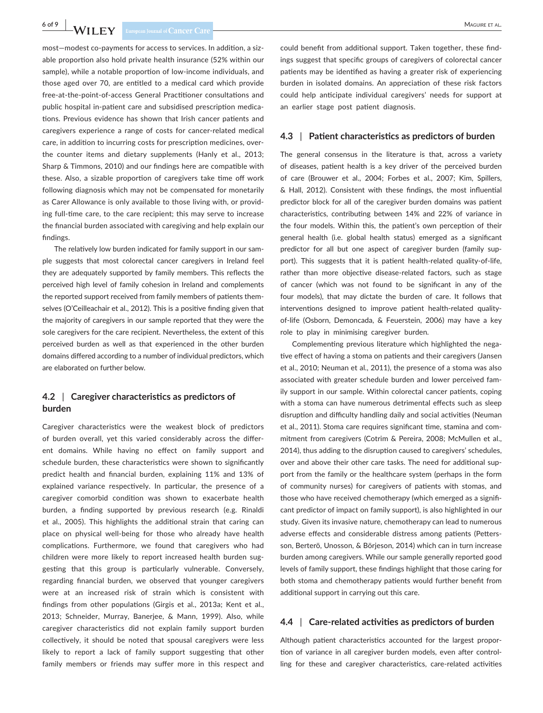# **6 of 9** MAGUIRE ET AL.

most—modest co-payments for access to services. In addition, a sizable proportion also hold private health insurance (52% within our sample), while a notable proportion of low-income individuals, and those aged over 70, are entitled to a medical card which provide free-at-the-point-of-access General Practitioner consultations and public hospital in-patient care and subsidised prescription medications. Previous evidence has shown that Irish cancer patients and caregivers experience a range of costs for cancer-related medical care, in addition to incurring costs for prescription medicines, overthe counter items and dietary supplements (Hanly et al., 2013; Sharp & Timmons, 2010) and our findings here are compatible with these. Also, a sizable proportion of caregivers take time off work following diagnosis which may not be compensated for monetarily as Carer Allowance is only available to those living with, or providing full-time care, to the care recipient; this may serve to increase the financial burden associated with caregiving and help explain our findings.

The relatively low burden indicated for family support in our sample suggests that most colorectal cancer caregivers in Ireland feel they are adequately supported by family members. This reflects the perceived high level of family cohesion in Ireland and complements the reported support received from family members of patients themselves (O'Ceilleachair et al., 2012). This is a positive finding given that the majority of caregivers in our sample reported that they were the sole caregivers for the care recipient. Nevertheless, the extent of this perceived burden as well as that experienced in the other burden domains differed according to a number of individual predictors, which are elaborated on further below.

# **4.2** | **Caregiver characteristics as predictors of burden**

Caregiver characteristics were the weakest block of predictors of burden overall, yet this varied considerably across the different domains. While having no effect on family support and schedule burden, these characteristics were shown to significantly predict health and financial burden, explaining 11% and 13% of explained variance respectively. In particular, the presence of a caregiver comorbid condition was shown to exacerbate health burden, a finding supported by previous research (e.g. Rinaldi et al., 2005). This highlights the additional strain that caring can place on physical well-being for those who already have health complications. Furthermore, we found that caregivers who had children were more likely to report increased health burden suggesting that this group is particularly vulnerable. Conversely, regarding financial burden, we observed that younger caregivers were at an increased risk of strain which is consistent with findings from other populations (Girgis et al., 2013a; Kent et al., 2013; Schneider, Murray, Banerjee, & Mann, 1999). Also, while caregiver characteristics did not explain family support burden collectively, it should be noted that spousal caregivers were less likely to report a lack of family support suggesting that other family members or friends may suffer more in this respect and

could benefit from additional support. Taken together, these findings suggest that specific groups of caregivers of colorectal cancer patients may be identified as having a greater risk of experiencing burden in isolated domains. An appreciation of these risk factors could help anticipate individual caregivers' needs for support at an earlier stage post patient diagnosis.

#### **4.3** | **Patient characteristics as predictors of burden**

The general consensus in the literature is that, across a variety of diseases, patient health is a key driver of the perceived burden of care (Brouwer et al., 2004; Forbes et al., 2007; Kim, Spillers, & Hall, 2012). Consistent with these findings, the most influential predictor block for all of the caregiver burden domains was patient characteristics, contributing between 14% and 22% of variance in the four models. Within this, the patient's own perception of their general health (i.e. global health status) emerged as a significant predictor for all but one aspect of caregiver burden (family support). This suggests that it is patient health-related quality-of-life, rather than more objective disease-related factors, such as stage of cancer (which was not found to be significant in any of the four models), that may dictate the burden of care. It follows that interventions designed to improve patient health-related qualityof-life (Osborn, Demoncada, & Feuerstein, 2006) may have a key role to play in minimising caregiver burden.

Complementing previous literature which highlighted the negative effect of having a stoma on patients and their caregivers (Jansen et al., 2010; Neuman et al., 2011), the presence of a stoma was also associated with greater schedule burden and lower perceived family support in our sample. Within colorectal cancer patients, coping with a stoma can have numerous detrimental effects such as sleep disruption and difficulty handling daily and social activities (Neuman et al., 2011). Stoma care requires significant time, stamina and commitment from caregivers (Cotrim & Pereira, 2008; McMullen et al., 2014), thus adding to the disruption caused to caregivers' schedules, over and above their other care tasks. The need for additional support from the family or the healthcare system (perhaps in the form of community nurses) for caregivers of patients with stomas, and those who have received chemotherapy (which emerged as a significant predictor of impact on family support), is also highlighted in our study. Given its invasive nature, chemotherapy can lead to numerous adverse effects and considerable distress among patients (Pettersson, Berterö, Unosson, & Börjeson, 2014) which can in turn increase burden among caregivers. While our sample generally reported good levels of family support, these findings highlight that those caring for both stoma and chemotherapy patients would further benefit from additional support in carrying out this care.

#### **4.4** | **Care-related activities as predictors of burden**

Although patient characteristics accounted for the largest proportion of variance in all caregiver burden models, even after controlling for these and caregiver characteristics, care-related activities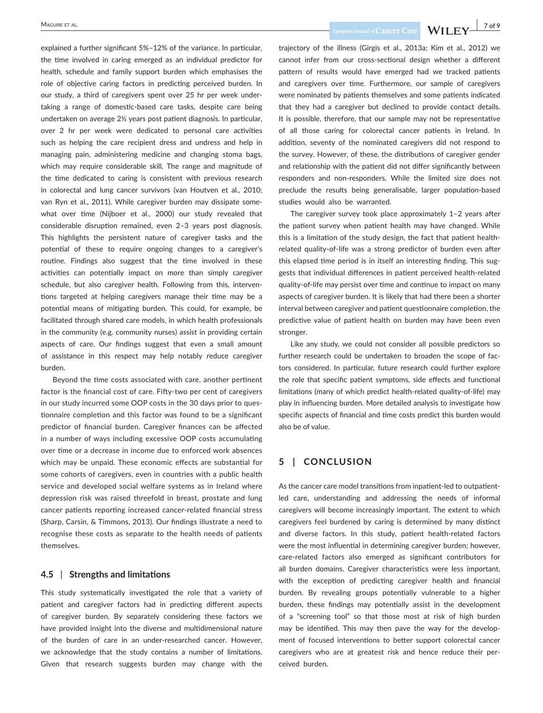explained a further significant 5%–12% of the variance. In particular, the time involved in caring emerged as an individual predictor for health, schedule and family support burden which emphasises the role of objective caring factors in predicting perceived burden. In our study, a third of caregivers spent over 25 hr per week undertaking a range of domestic-based care tasks, despite care being undertaken on average 2½ years post patient diagnosis. In particular, over 2 hr per week were dedicated to personal care activities such as helping the care recipient dress and undress and help in managing pain, administering medicine and changing stoma bags, which may require considerable skill. The range and magnitude of the time dedicated to caring is consistent with previous research in colorectal and lung cancer survivors (van Houtven et al., 2010; van Ryn et al., 2011). While caregiver burden may dissipate somewhat over time (Nijboer et al., 2000) our study revealed that considerable disruption remained, even 2–3 years post diagnosis. This highlights the persistent nature of caregiver tasks and the potential of these to require ongoing changes to a caregiver's routine. Findings also suggest that the time involved in these activities can potentially impact on more than simply caregiver schedule, but also caregiver health. Following from this, interventions targeted at helping caregivers manage their time may be a potential means of mitigating burden. This could, for example, be facilitated through shared care models, in which health professionals in the community (e.g. community nurses) assist in providing certain aspects of care. Our findings suggest that even a small amount of assistance in this respect may help notably reduce caregiver burden.

Beyond the time costs associated with care, another pertinent factor is the financial cost of care. Fifty-two per cent of caregivers in our study incurred some OOP costs in the 30 days prior to questionnaire completion and this factor was found to be a significant predictor of financial burden. Caregiver finances can be affected in a number of ways including excessive OOP costs accumulating over time or a decrease in income due to enforced work absences which may be unpaid. These economic effects are substantial for some cohorts of caregivers, even in countries with a public health service and developed social welfare systems as in Ireland where depression risk was raised threefold in breast, prostate and lung cancer patients reporting increased cancer-related financial stress (Sharp, Carsin, & Timmons, 2013). Our findings illustrate a need to recognise these costs as separate to the health needs of patients themselves.

#### **4.5** | **Strengths and limitations**

This study systematically investigated the role that a variety of patient and caregiver factors had in predicting different aspects of caregiver burden. By separately considering these factors we have provided insight into the diverse and multidimensional nature of the burden of care in an under-researched cancer. However, we acknowledge that the study contains a number of limitations. Given that research suggests burden may change with the

MAGUIRE ET AL. **1998** TOWER ET AL.

trajectory of the illness (Girgis et al., 2013a; Kim et al., 2012) we cannot infer from our cross-sectional design whether a different pattern of results would have emerged had we tracked patients and caregivers over time. Furthermore, our sample of caregivers were nominated by patients themselves and some patients indicated that they had a caregiver but declined to provide contact details. It is possible, therefore, that our sample may not be representative of all those caring for colorectal cancer patients in Ireland. In addition, seventy of the nominated caregivers did not respond to the survey. However, of these, the distributions of caregiver gender and relationship with the patient did not differ significantly between responders and non-responders. While the limited size does not preclude the results being generalisable, larger population-based studies would also be warranted.

The caregiver survey took place approximately 1–2 years after the patient survey when patient health may have changed. While this is a limitation of the study design, the fact that patient healthrelated quality-of-life was a strong predictor of burden even after this elapsed time period is in itself an interesting finding. This suggests that individual differences in patient perceived health-related quality-of-life may persist over time and continue to impact on many aspects of caregiver burden. It is likely that had there been a shorter interval between caregiver and patient questionnaire completion, the predictive value of patient health on burden may have been even stronger.

Like any study, we could not consider all possible predictors so further research could be undertaken to broaden the scope of factors considered. In particular, future research could further explore the role that specific patient symptoms, side effects and functional limitations (many of which predict health-related quality-of-life) may play in influencing burden. More detailed analysis to investigate how specific aspects of financial and time costs predict this burden would also be of value.

# **5 | CONCLUSION**

As the cancer care model transitions from inpatient-led to outpatientled care, understanding and addressing the needs of informal caregivers will become increasingly important. The extent to which caregivers feel burdened by caring is determined by many distinct and diverse factors. In this study, patient health-related factors were the most influential in determining caregiver burden; however, care-related factors also emerged as significant contributors for all burden domains. Caregiver characteristics were less important, with the exception of predicting caregiver health and financial burden. By revealing groups potentially vulnerable to a higher burden, these findings may potentially assist in the development of a "screening tool" so that those most at risk of high burden may be identified. This may then pave the way for the development of focused interventions to better support colorectal cancer caregivers who are at greatest risk and hence reduce their perceived burden.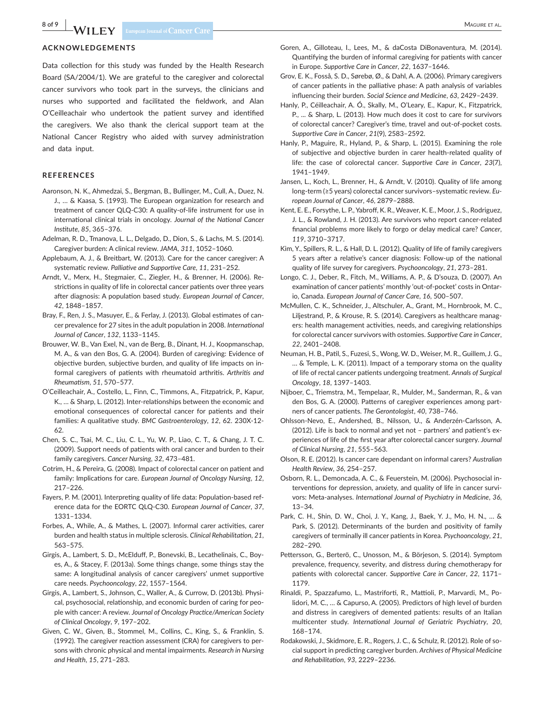#### **ACKNOWLEDGEMENTS**

Data collection for this study was funded by the Health Research Board (SA/2004/1). We are grateful to the caregiver and colorectal cancer survivors who took part in the surveys, the clinicians and nurses who supported and facilitated the fieldwork, and Alan O'Ceilleachair who undertook the patient survey and identified the caregivers. We also thank the clerical support team at the National Cancer Registry who aided with survey administration and data input.

#### **REFERENCES**

- Aaronson, N. K., Ahmedzai, S., Bergman, B., Bullinger, M., Cull, A., Duez, N. J., … & Kaasa, S. (1993). The European organization for research and treatment of cancer QLQ-C30: A quality-of-life instrument for use in international clinical trials in oncology. *Journal of the National Cancer Institute*, *85*, 365–376.
- Adelman, R. D., Tmanova, L. L., Delgado, D., Dion, S., & Lachs, M. S. (2014). Caregiver burden: A clinical review. *JAMA*, *311*, 1052–1060.
- Applebaum, A. J., & Breitbart, W. (2013). Care for the cancer caregiver: A systematic review. *Palliative and Supportive Care*, *11*, 231–252.
- Arndt, V., Merx, H., Stegmaier, C., Ziegler, H., & Brenner, H. (2006). Restrictions in quality of life in colorectal cancer patients over three years after diagnosis: A population based study. *European Journal of Cancer*, *42*, 1848–1857.
- Bray, F., Ren, J. S., Masuyer, E., & Ferlay, J. (2013). Global estimates of cancer prevalence for 27 sites in the adult population in 2008. *International Journal of Cancer*, *132*, 1133–1145.
- Brouwer, W. B., Van Exel, N., van de Berg, B., Dinant, H. J., Koopmanschap, M. A., & van den Bos, G. A. (2004). Burden of caregiving: Evidence of objective burden, subjective burden, and quality of life impacts on informal caregivers of patients with rheumatoid arthritis. *Arthritis and Rheumatism*, *51*, 570–577.
- O'Ceilleachair, A., Costello, L., Finn, C., Timmons, A., Fitzpatrick, P., Kapur, K., … & Sharp, L. (2012). Inter-relationships between the economic and emotional consequences of colorectal cancer for patients and their families: A qualitative study. *BMC Gastroenterology*, *12*, 62. 230X-12- 62.
- Chen, S. C., Tsai, M. C., Liu, C. L., Yu, W. P., Liao, C. T., & Chang, J. T. C. (2009). Support needs of patients with oral cancer and burden to their family caregivers. *Cancer Nursing*, *32*, 473–481.
- Cotrim, H., & Pereira, G. (2008). Impact of colorectal cancer on patient and family: Implications for care. *European Journal of Oncology Nursing*, *12*, 217–226.
- Fayers, P. M. (2001). Interpreting quality of life data: Population-based reference data for the EORTC QLQ-C30. *European Journal of Cancer*, *37*, 1331–1334.
- Forbes, A., While, A., & Mathes, L. (2007). Informal carer activities, carer burden and health status in multiple sclerosis. *Clinical Rehabilitation*, *21*, 563–575.
- Girgis, A., Lambert, S. D., McElduff, P., Bonevski, B., Lecathelinais, C., Boyes, A., & Stacey, F. (2013a). Some things change, some things stay the same: A longitudinal analysis of cancer caregivers' unmet supportive care needs. *Psychooncology*, *22*, 1557–1564.
- Girgis, A., Lambert, S., Johnson, C., Waller, A., & Currow, D. (2013b). Physical, psychosocial, relationship, and economic burden of caring for people with cancer: A review. *Journal of Oncology Practice/American Society of Clinical Oncology*, *9*, 197–202.
- Given, C. W., Given, B., Stommel, M., Collins, C., King, S., & Franklin, S. (1992). The caregiver reaction assessment (CRA) for caregivers to persons with chronic physical and mental impairments. *Research in Nursing and Health*, *15*, 271–283.
- Goren, A., Gilloteau, I., Lees, M., & daCosta DiBonaventura, M. (2014). Quantifying the burden of informal caregiving for patients with cancer in Europe. *Supportive Care in Cancer*, *22*, 1637–1646.
- Grov, E. K., Fosså, S. D., Sørebø, Ø., & Dahl, A. A. (2006). Primary caregivers of cancer patients in the palliative phase: A path analysis of variables influencing their burden. *Social Science and Medicine*, *63*, 2429–2439.
- Hanly, P., Céilleachair, A. Ó., Skally, M., O'Leary, E., Kapur, K., Fitzpatrick, P., ... & Sharp, L. (2013). How much does it cost to care for survivors of colorectal cancer? Caregiver's time, travel and out-of-pocket costs. *Supportive Care in Cancer*, *21*(9), 2583–2592.
- Hanly, P., Maguire, R., Hyland, P., & Sharp, L. (2015). Examining the role of subjective and objective burden in carer health-related quality of life: the case of colorectal cancer. *Supportive Care in Cancer*, *23*(7), 1941–1949.
- Jansen, L., Koch, L., Brenner, H., & Arndt, V. (2010). Quality of life among long-term (≥5 years) colorectal cancer survivors–systematic review. *European Journal of Cancer*, *46*, 2879–2888.
- Kent, E. E., Forsythe, L. P., Yabroff, K. R., Weaver, K. E., Moor, J. S., Rodriguez, J. L., & Rowland, J. H. (2013). Are survivors who report cancer-related financial problems more likely to forgo or delay medical care? *Cancer*, *119*, 3710–3717.
- Kim, Y., Spillers, R. L., & Hall, D. L. (2012). Quality of life of family caregivers 5 years after a relative's cancer diagnosis: Follow-up of the national quality of life survey for caregivers. *Psychooncology*, *21*, 273–281.
- Longo, C. J., Deber, R., Fitch, M., Williams, A. P., & D'souza, D. (2007). An examination of cancer patients' monthly 'out-of-pocket' costs in Ontario, Canada. *European Journal of Cancer Care*, *16*, 500–507.
- McMullen, C. K., Schneider, J., Altschuler, A., Grant, M., Hornbrook, M. C., Liljestrand, P., & Krouse, R. S. (2014). Caregivers as healthcare managers: health management activities, needs, and caregiving relationships for colorectal cancer survivors with ostomies. *Supportive Care in Cancer*, *22*, 2401–2408.
- Neuman, H. B., Patil, S., Fuzesi, S., Wong, W. D., Weiser, M. R., Guillem, J. G., … & Temple, L. K. (2011). Impact of a temporary stoma on the quality of life of rectal cancer patients undergoing treatment. *Annals of Surgical Oncology*, *18*, 1397–1403.
- Nijboer, C., Triemstra, M., Tempelaar, R., Mulder, M., Sanderman, R., & van den Bos, G. A. (2000). Patterns of caregiver experiences among partners of cancer patients. *The Gerontologist*, *40*, 738–746.
- Ohlsson-Nevo, E., Andershed, B., Nilsson, U., & Anderzén-Carlsson, A. (2012). Life is back to normal and yet not – partners' and patient's experiences of life of the first year after colorectal cancer surgery. *Journal of Clinical Nursing*, *21*, 555–563.
- Olson, R. E. (2012). Is cancer care dependant on informal carers? *Australian Health Review*, *36*, 254–257.
- Osborn, R. L., Demoncada, A. C., & Feuerstein, M. (2006). Psychosocial interventions for depression, anxiety, and quality of life in cancer survivors: Meta-analyses. *International Journal of Psychiatry in Medicine*, *36*, 13–34.
- Park, C. H., Shin, D. W., Choi, J. Y., Kang, J., Baek, Y. J., Mo, H. N., … & Park, S. (2012). Determinants of the burden and positivity of family caregivers of terminally ill cancer patients in Korea. *Psychooncology*, *21*, 282–290.
- Pettersson, G., Berterö, C., Unosson, M., & Börjeson, S. (2014). Symptom prevalence, frequency, severity, and distress during chemotherapy for patients with colorectal cancer. *Supportive Care in Cancer*, *22*, 1171– 1179.
- Rinaldi, P., Spazzafumo, L., Mastriforti, R., Mattioli, P., Marvardi, M., Polidori, M. C., … & Capurso, A. (2005). Predictors of high level of burden and distress in caregivers of demented patients: results of an Italian multicenter study. *International Journal of Geriatric Psychiatry*, *20*, 168–174.
- Rodakowski, J., Skidmore, E. R., Rogers, J. C., & Schulz, R. (2012). Role of social support in predicting caregiver burden. *Archives of Physical Medicine and Rehabilitation*, *93*, 2229–2236.